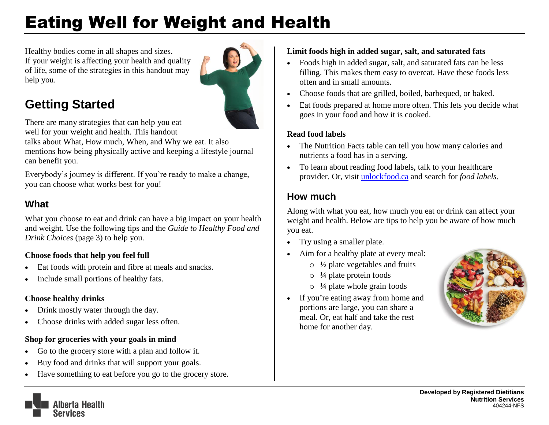# Eating Well for Weight and Health

Healthy bodies come in all shapes and sizes. If your weight is affecting your health and quality of life, some of the strategies in this handout may help you.



## **Getting Started**

There are many strategies that can help you eat well for your weight and health. This handout

talks about What, How much, When, and Why we eat. It also mentions how being physically active and keeping a lifestyle journal can benefit you.

Everybody's journey is different. If you're ready to make a change, you can choose what works best for you!

#### **What**

What you choose to eat and drink can have a big impact on your health and weight. Use the following tips and the *Guide to Healthy Food and Drink Choices* (page 3) to help you.

#### **Choose foods that help you feel full**

- Eat foods with protein and fibre at meals and snacks.
- Include small portions of healthy fats.

#### **Choose healthy drinks**

- Drink mostly water through the day.
- Choose drinks with added sugar less often.

#### **Shop for groceries with your goals in mind**

- Go to the grocery store with a plan and follow it.
- Buy food and drinks that will support your goals.
- Have something to eat before you go to the grocery store.

#### **Limit foods high in added sugar, salt, and saturated fats**

- Foods high in added sugar, salt, and saturated fats can be less filling. This makes them easy to overeat. Have these foods less often and in small amounts.
- Choose foods that are grilled, boiled, barbequed, or baked.
- Eat foods prepared at home more often. This lets you decide what goes in your food and how it is cooked.

#### **Read food labels**

- The Nutrition Facts table can tell you how many calories and nutrients a food has in a serving.
- To learn about reading food labels, talk to your healthcare provider. Or, visit [unlockfood.ca](https://www.unlockfood.ca/en/default.aspx) and search for *food labels*.

### **How much**

Along with what you eat, how much you eat or drink can affect your weight and health. Below are tips to help you be aware of how much you eat.

- Try using a smaller plate.
- Aim for a healthy plate at every meal:
	- $\circ$  1/2 plate vegetables and fruits
	- $\circ$  ¼ plate protein foods
	- $\circ$  <sup>1</sup>/4 plate whole grain foods
- If you're eating away from home and portions are large, you can share a meal. Or, eat half and take the rest home for another day.



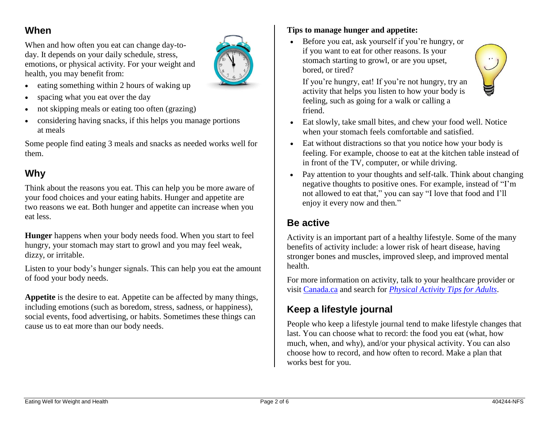#### **When**

When and how often you eat can change day-today. It depends on your daily schedule, stress, emotions, or physical activity. For your weight and health, you may benefit from:



- $\bullet$  eating something within 2 hours of waking up
- spacing what you eat over the day
- not skipping meals or eating too often (grazing)
- considering having snacks, if this helps you manage portions at meals

Some people find eating 3 meals and snacks as needed works well for them.

#### **Why**

Think about the reasons you eat. This can help you be more aware of your food choices and your eating habits. Hunger and appetite are two reasons we eat. Both hunger and appetite can increase when you eat less.

**Hunger** happens when your body needs food. When you start to feel hungry, your stomach may start to growl and you may feel weak, dizzy, or irritable.

Listen to your body's hunger signals. This can help you eat the amount of food your body needs.

**Appetite** is the desire to eat. Appetite can be affected by many things, including emotions (such as boredom, stress, sadness, or happiness), social events, food advertising, or habits. Sometimes these things can cause us to eat more than our body needs.

#### **Tips to manage hunger and appetite:**

 Before you eat, ask yourself if you're hungry, or if you want to eat for other reasons. Is your stomach starting to growl, or are you upset, bored, or tired?



If you're hungry, eat! If you're not hungry, try an activity that helps you listen to how your body is feeling, such as going for a walk or calling a friend.

- Eat slowly, take small bites, and chew your food well. Notice when your stomach feels comfortable and satisfied.
- Eat without distractions so that you notice how your body is feeling. For example, choose to eat at the kitchen table instead of in front of the TV, computer, or while driving.
- Pay attention to your thoughts and self-talk. Think about changing negative thoughts to positive ones. For example, instead of "I'm not allowed to eat that," you can say "I love that food and I'll enjoy it every now and then*.*"

#### **Be active**

Activity is an important part of a healthy lifestyle. Some of the many benefits of activity include: a lower risk of heart disease, having stronger bones and muscles, improved sleep, and improved mental health.

For more information on activity, talk to your healthcare provider or visit [Canada.ca](https://www.canada.ca/en.html) and search for *[Physical Activity Tips for Adults](https://www.canada.ca/en/public-health/services/publications/healthy-living/physical-activity-tips-adults-18-64-years.html)*.

#### **Keep a lifestyle journal**

People who keep a lifestyle journal tend to make lifestyle changes that last. You can choose what to record: the food you eat (what, how much, when, and why), and/or your physical activity. You can also choose how to record, and how often to record. Make a plan that works best for you.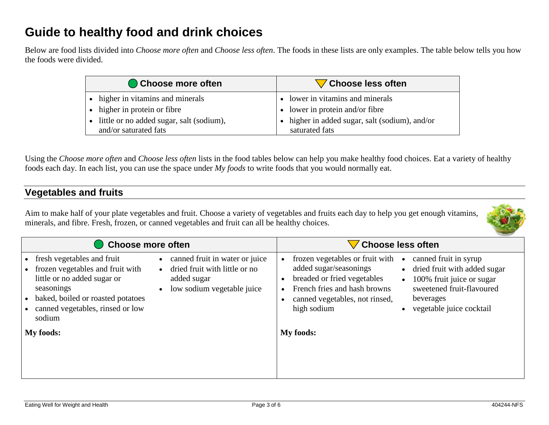## **Guide to healthy food and drink choices**

Below are food lists divided into *Choose more often* and *Choose less often*. The foods in these lists are only examples. The table below tells you how the foods were divided.

| Choose more often                                                   | Choose less often                                                        |
|---------------------------------------------------------------------|--------------------------------------------------------------------------|
| • higher in vitamins and minerals                                   | • lower in vitamins and minerals                                         |
| • higher in protein or fibre                                        | • lower in protein and/or fibre                                          |
| • little or no added sugar, salt (sodium),<br>and/or saturated fats | $\bullet$ higher in added sugar, salt (sodium), and/or<br>saturated fats |

Using the *Choose more often* and *Choose less often* lists in the food tables below can help you make healthy food choices. Eat a variety of healthy foods each day. In each list, you can use the space under *My foods* to write foods that you would normally eat.

#### **Vegetables and fruits**

Aim to make half of your plate vegetables and fruit. Choose a variety of vegetables and fruits each day to help you get enough vitamins, minerals, and fibre. Fresh, frozen, or canned vegetables and fruit can all be healthy choices.

| Choose more often                                                                                                                                                                                                                                                                                                                  | Choose less often                                                                                                                                                                                                                                                                                                                                                 |  |
|------------------------------------------------------------------------------------------------------------------------------------------------------------------------------------------------------------------------------------------------------------------------------------------------------------------------------------|-------------------------------------------------------------------------------------------------------------------------------------------------------------------------------------------------------------------------------------------------------------------------------------------------------------------------------------------------------------------|--|
| canned fruit in water or juice<br>fresh vegetables and fruit<br>frozen vegetables and fruit with<br>dried fruit with little or no<br>little or no added sugar or<br>added sugar<br>low sodium vegetable juice<br>seasonings<br>baked, boiled or roasted potatoes<br>canned vegetables, rinsed or low<br>sodium<br><b>My foods:</b> | frozen vegetables or fruit with<br>canned fruit in syrup<br>added sugar/seasonings<br>• dried fruit with added sugar<br>breaded or fried vegetables<br>100% fruit juice or sugar<br>$\bullet$<br>sweetened fruit-flavoured<br>French fries and hash browns<br>canned vegetables, not rinsed,<br>beverages<br>vegetable juice cocktail<br>high sodium<br>My foods: |  |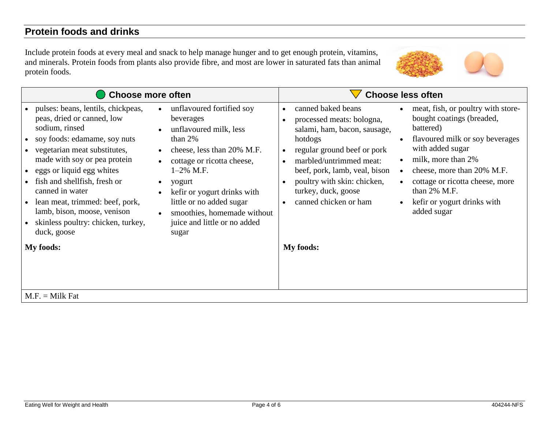#### **Protein foods and drinks**

Include protein foods at every meal and snack to help manage hunger and to get enough protein, vitamins, and minerals. Protein foods from plants also provide fibre, and most are lower in saturated fats than animal protein foods.



| <b>Choose more often</b>                                                                                                                                                                                                                                                                                                                                                                                                                                                                                                                                                                                                                                                                                                                                                                | <b>Choose less often</b>                                                                                                                                                                                                                                                                                                                                                                                                                                                                                                                                                                   |
|-----------------------------------------------------------------------------------------------------------------------------------------------------------------------------------------------------------------------------------------------------------------------------------------------------------------------------------------------------------------------------------------------------------------------------------------------------------------------------------------------------------------------------------------------------------------------------------------------------------------------------------------------------------------------------------------------------------------------------------------------------------------------------------------|--------------------------------------------------------------------------------------------------------------------------------------------------------------------------------------------------------------------------------------------------------------------------------------------------------------------------------------------------------------------------------------------------------------------------------------------------------------------------------------------------------------------------------------------------------------------------------------------|
| • pulses: beans, lentils, chickpeas,<br>unflavoured fortified soy<br>$\bullet$<br>peas, dried or canned, low<br>beverages<br>sodium, rinsed<br>unflavoured milk, less<br>$\bullet$<br>than $2%$<br>• soy foods: edamame, soy nuts<br>• vegetarian meat substitutes,<br>cheese, less than 20% M.F.<br>made with soy or pea protein<br>cottage or ricotta cheese,<br>• eggs or liquid egg whites<br>$1-2\%$ M.F.<br>• fish and shellfish, fresh or<br>yogurt<br>$\bullet$<br>canned in water<br>kefir or yogurt drinks with<br>$\bullet$<br>lean meat, trimmed: beef, pork,<br>little or no added sugar<br>lamb, bison, moose, venison<br>smoothies, homemade without<br>• skinless poultry: chicken, turkey,<br>juice and little or no added<br>duck, goose<br>sugar<br><b>My foods:</b> | canned baked beans<br>meat, fish, or poultry with store-<br>bought coatings (breaded,<br>processed meats: bologna,<br>battered)<br>salami, ham, bacon, sausage,<br>flavoured milk or soy beverages<br>hotdogs<br>with added sugar<br>regular ground beef or pork<br>milk, more than 2%<br>marbled/untrimmed meat:<br>beef, pork, lamb, veal, bison<br>cheese, more than 20% M.F.<br>$\bullet$<br>poultry with skin: chicken,<br>cottage or ricotta cheese, more<br>turkey, duck, goose<br>than 2% M.F.<br>canned chicken or ham<br>kefir or yogurt drinks with<br>added sugar<br>My foods: |
| $M.F. = Milk Fat$                                                                                                                                                                                                                                                                                                                                                                                                                                                                                                                                                                                                                                                                                                                                                                       |                                                                                                                                                                                                                                                                                                                                                                                                                                                                                                                                                                                            |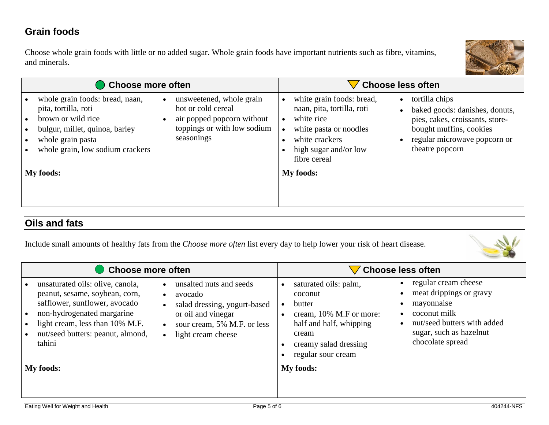#### **Grain foods**

Choose whole grain foods with little or no added sugar. Whole grain foods have important nutrients such as fibre, vitamins, and minerals.



| Choose more often                                                                                                                                                                                                                                                                                                               | <b>Choose less often</b>                                                                                                                                                                                                                                                                                                                     |  |
|---------------------------------------------------------------------------------------------------------------------------------------------------------------------------------------------------------------------------------------------------------------------------------------------------------------------------------|----------------------------------------------------------------------------------------------------------------------------------------------------------------------------------------------------------------------------------------------------------------------------------------------------------------------------------------------|--|
| whole grain foods: bread, naan,<br>unsweetened, whole grain<br>$\bullet$<br>hot or cold cereal<br>pita, tortilla, roti<br>brown or wild rice<br>air popped popcorn without<br>$\bullet$<br>toppings or with low sodium<br>bulgur, millet, quinoa, barley<br>seasonings<br>whole grain pasta<br>whole grain, low sodium crackers | white grain foods: bread,<br>tortilla chips<br>$\bullet$<br>naan, pita, tortilla, roti<br>baked goods: danishes, donuts,<br>white rice<br>pies, cakes, croissants, store-<br>bought muffins, cookies<br>white pasta or noodles<br>white crackers<br>regular microwave popcorn or<br>theatre popcorn<br>high sugar and/or low<br>fibre cereal |  |
| <b>My foods:</b>                                                                                                                                                                                                                                                                                                                | My foods:                                                                                                                                                                                                                                                                                                                                    |  |

#### **Oils and fats**

Include small amounts of healthy fats from the *Choose more often* list every day to help lower your risk of heart disease.



| <b>Choose more often</b>                                                                                                                                                                                                                                                       |                                                                                                                                               | <b>Choose less often</b>                                                                                                                                                                                                                                                                                                             |  |
|--------------------------------------------------------------------------------------------------------------------------------------------------------------------------------------------------------------------------------------------------------------------------------|-----------------------------------------------------------------------------------------------------------------------------------------------|--------------------------------------------------------------------------------------------------------------------------------------------------------------------------------------------------------------------------------------------------------------------------------------------------------------------------------------|--|
| unsaturated oils: olive, canola,<br>peanut, sesame, soybean, corn,<br>$\bullet$<br>safflower, sunflower, avocado<br>$\bullet$<br>non-hydrogenated margarine<br>light cream, less than 10% M.F.<br>nut/seed butters: peanut, almond,<br>$\bullet$<br>tahini<br><b>My foods:</b> | unsalted nuts and seeds<br>avocado<br>salad dressing, yogurt-based<br>or oil and vinegar<br>sour cream, 5% M.F. or less<br>light cream cheese | regular cream cheese<br>saturated oils: palm,<br>meat drippings or gravy<br>coconut<br>mayonnaise<br>butter<br>coconut milk<br>cream, 10% M.F or more:<br>nut/seed butters with added<br>half and half, whipping<br>sugar, such as hazelnut<br>cream<br>chocolate spread<br>creamy salad dressing<br>regular sour cream<br>My foods: |  |
|                                                                                                                                                                                                                                                                                |                                                                                                                                               |                                                                                                                                                                                                                                                                                                                                      |  |